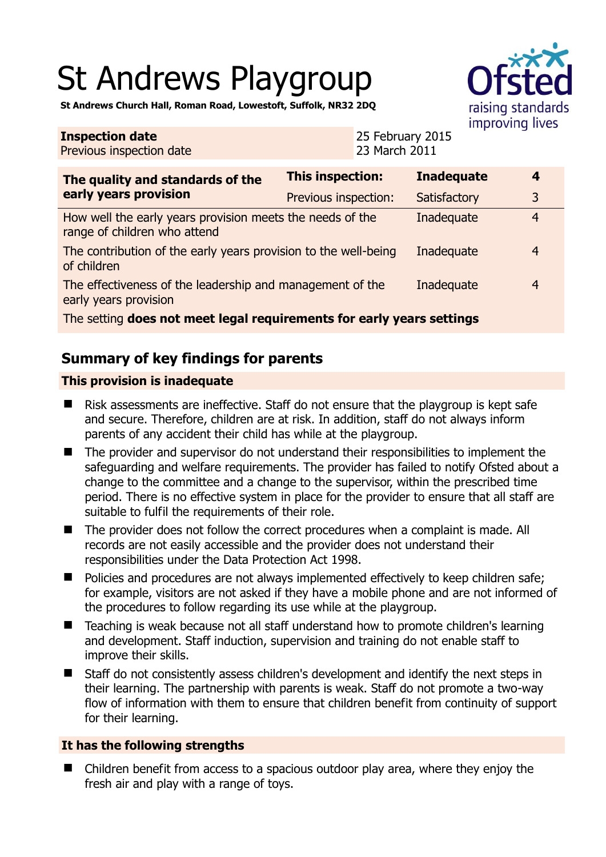# St Andrews Playgroup



**St Andrews Church Hall, Roman Road, Lowestoft, Suffolk, NR32 2DQ** 

#### **Inspection date** Previous inspection date 25 February 2015 23 March 2011 **The quality and standards of the early years provision This inspection: Inadequate 4**  Previous inspection: Satisfactory 3 How well the early years provision meets the needs of the range of children who attend Inadequate 4 The contribution of the early years provision to the well-being of children Inadequate 4 The effectiveness of the leadership and management of the early years provision Inadequate 4 The setting **does not meet legal requirements for early years settings**

# **Summary of key findings for parents**

# **This provision is inadequate**

- $\blacksquare$  Risk assessments are ineffective. Staff do not ensure that the playgroup is kept safe and secure. Therefore, children are at risk. In addition, staff do not always inform parents of any accident their child has while at the playgroup.
- The provider and supervisor do not understand their responsibilities to implement the safeguarding and welfare requirements. The provider has failed to notify Ofsted about a change to the committee and a change to the supervisor, within the prescribed time period. There is no effective system in place for the provider to ensure that all staff are suitable to fulfil the requirements of their role.
- The provider does not follow the correct procedures when a complaint is made. All records are not easily accessible and the provider does not understand their responsibilities under the Data Protection Act 1998.
- Policies and procedures are not always implemented effectively to keep children safe; for example, visitors are not asked if they have a mobile phone and are not informed of the procedures to follow regarding its use while at the playgroup.
- Teaching is weak because not all staff understand how to promote children's learning and development. Staff induction, supervision and training do not enable staff to improve their skills.
- Staff do not consistently assess children's development and identify the next steps in their learning. The partnership with parents is weak. Staff do not promote a two-way flow of information with them to ensure that children benefit from continuity of support for their learning.

## **It has the following strengths**

■ Children benefit from access to a spacious outdoor play area, where they enjoy the fresh air and play with a range of toys.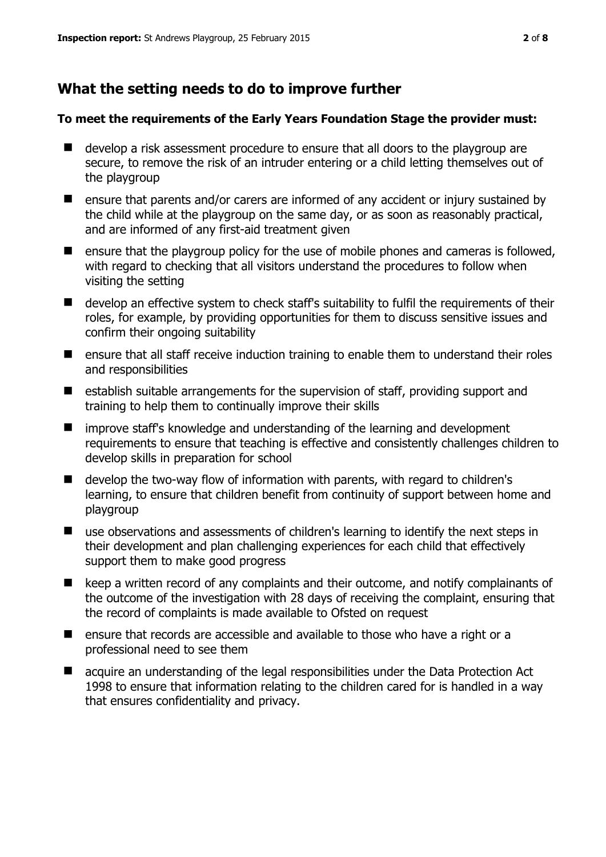# **What the setting needs to do to improve further**

#### **To meet the requirements of the Early Years Foundation Stage the provider must:**

- develop a risk assessment procedure to ensure that all doors to the playgroup are secure, to remove the risk of an intruder entering or a child letting themselves out of the playgroup
- ensure that parents and/or carers are informed of any accident or injury sustained by the child while at the playgroup on the same day, or as soon as reasonably practical, and are informed of any first-aid treatment given
- $\blacksquare$  ensure that the playgroup policy for the use of mobile phones and cameras is followed, with regard to checking that all visitors understand the procedures to follow when visiting the setting
- develop an effective system to check staff's suitability to fulfil the requirements of their roles, for example, by providing opportunities for them to discuss sensitive issues and confirm their ongoing suitability
- ensure that all staff receive induction training to enable them to understand their roles and responsibilities
- establish suitable arrangements for the supervision of staff, providing support and training to help them to continually improve their skills
- $\blacksquare$  improve staff's knowledge and understanding of the learning and development requirements to ensure that teaching is effective and consistently challenges children to develop skills in preparation for school
- develop the two-way flow of information with parents, with regard to children's learning, to ensure that children benefit from continuity of support between home and playgroup
- use observations and assessments of children's learning to identify the next steps in their development and plan challenging experiences for each child that effectively support them to make good progress
- E keep a written record of any complaints and their outcome, and notify complainants of the outcome of the investigation with 28 days of receiving the complaint, ensuring that the record of complaints is made available to Ofsted on request
- ensure that records are accessible and available to those who have a right or a professional need to see them
- acquire an understanding of the legal responsibilities under the Data Protection Act 1998 to ensure that information relating to the children cared for is handled in a way that ensures confidentiality and privacy.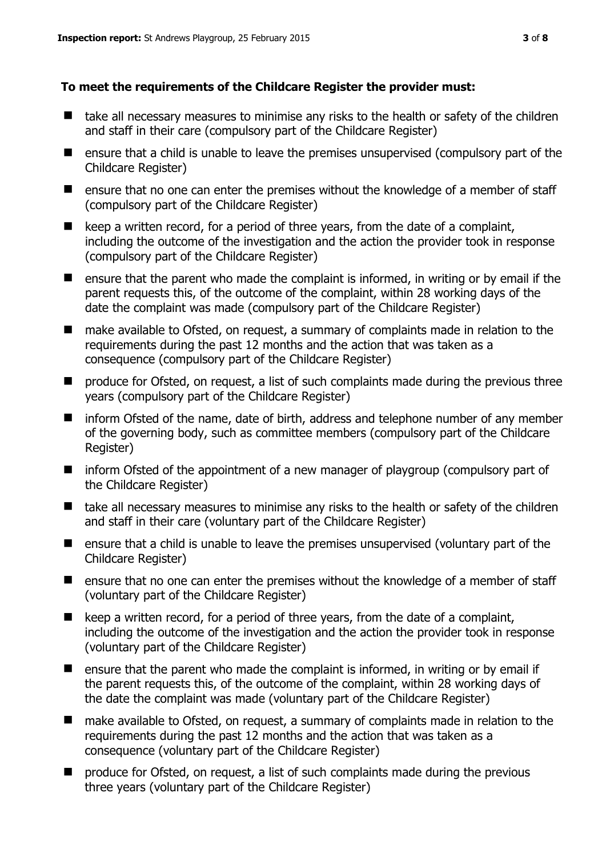#### **To meet the requirements of the Childcare Register the provider must:**

- take all necessary measures to minimise any risks to the health or safety of the children and staff in their care (compulsory part of the Childcare Register)
- ensure that a child is unable to leave the premises unsupervised (compulsory part of the Childcare Register)
- ensure that no one can enter the premises without the knowledge of a member of staff (compulsory part of the Childcare Register)
- $\blacksquare$  keep a written record, for a period of three years, from the date of a complaint, including the outcome of the investigation and the action the provider took in response (compulsory part of the Childcare Register)
- $\blacksquare$  ensure that the parent who made the complaint is informed, in writing or by email if the parent requests this, of the outcome of the complaint, within 28 working days of the date the complaint was made (compulsory part of the Childcare Register)
- make available to Ofsted, on request, a summary of complaints made in relation to the requirements during the past 12 months and the action that was taken as a consequence (compulsory part of the Childcare Register)
- **P** produce for Ofsted, on request, a list of such complaints made during the previous three years (compulsory part of the Childcare Register)
- inform Ofsted of the name, date of birth, address and telephone number of any member of the governing body, such as committee members (compulsory part of the Childcare Register)
- inform Ofsted of the appointment of a new manager of playgroup (compulsory part of the Childcare Register)
- take all necessary measures to minimise any risks to the health or safety of the children and staff in their care (voluntary part of the Childcare Register)
- **E** ensure that a child is unable to leave the premises unsupervised (voluntary part of the Childcare Register)
- **E** ensure that no one can enter the premises without the knowledge of a member of staff (voluntary part of the Childcare Register)
- $\blacksquare$  keep a written record, for a period of three years, from the date of a complaint, including the outcome of the investigation and the action the provider took in response (voluntary part of the Childcare Register)
- $\blacksquare$  ensure that the parent who made the complaint is informed, in writing or by email if the parent requests this, of the outcome of the complaint, within 28 working days of the date the complaint was made (voluntary part of the Childcare Register)
- make available to Ofsted, on request, a summary of complaints made in relation to the requirements during the past 12 months and the action that was taken as a consequence (voluntary part of the Childcare Register)
- **P** produce for Ofsted, on request, a list of such complaints made during the previous three years (voluntary part of the Childcare Register)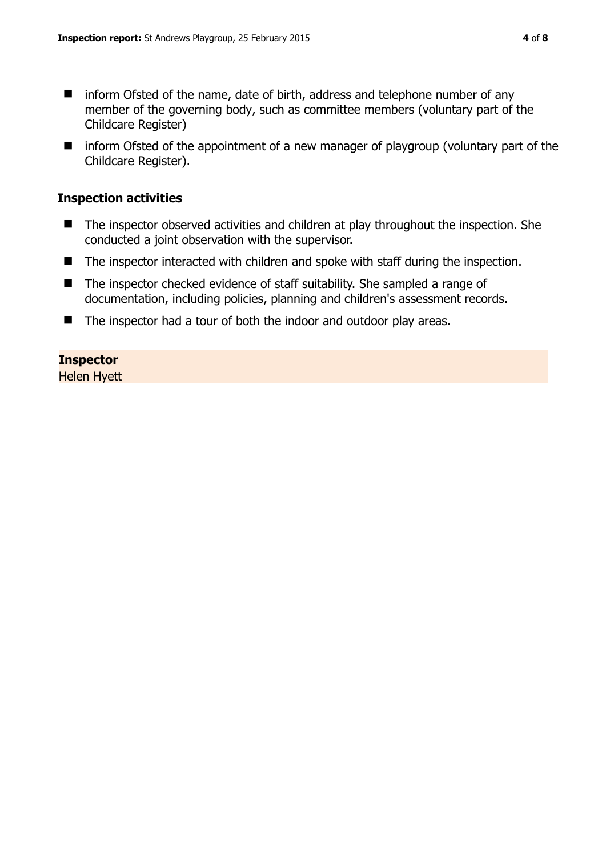- inform Ofsted of the name, date of birth, address and telephone number of any member of the governing body, such as committee members (voluntary part of the Childcare Register)
- inform Ofsted of the appointment of a new manager of playgroup (voluntary part of the Childcare Register).

#### **Inspection activities**

- The inspector observed activities and children at play throughout the inspection. She conducted a joint observation with the supervisor.
- The inspector interacted with children and spoke with staff during the inspection.
- The inspector checked evidence of staff suitability. She sampled a range of documentation, including policies, planning and children's assessment records.
- The inspector had a tour of both the indoor and outdoor play areas.

## **Inspector**

Helen Hyett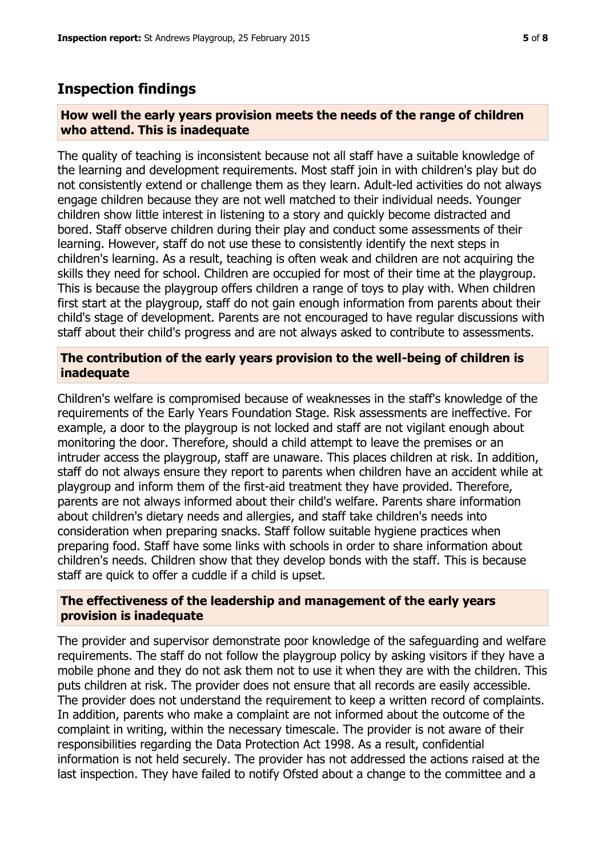# **Inspection findings**

#### **How well the early years provision meets the needs of the range of children who attend. This is inadequate**

The quality of teaching is inconsistent because not all staff have a suitable knowledge of the learning and development requirements. Most staff join in with children's play but do not consistently extend or challenge them as they learn. Adult-led activities do not always engage children because they are not well matched to their individual needs. Younger children show little interest in listening to a story and quickly become distracted and bored. Staff observe children during their play and conduct some assessments of their learning. However, staff do not use these to consistently identify the next steps in children's learning. As a result, teaching is often weak and children are not acquiring the skills they need for school. Children are occupied for most of their time at the playgroup. This is because the playgroup offers children a range of toys to play with. When children first start at the playgroup, staff do not gain enough information from parents about their child's stage of development. Parents are not encouraged to have regular discussions with staff about their child's progress and are not always asked to contribute to assessments.

#### **The contribution of the early years provision to the well-being of children is inadequate**

Children's welfare is compromised because of weaknesses in the staff's knowledge of the requirements of the Early Years Foundation Stage. Risk assessments are ineffective. For example, a door to the playgroup is not locked and staff are not vigilant enough about monitoring the door. Therefore, should a child attempt to leave the premises or an intruder access the playgroup, staff are unaware. This places children at risk. In addition, staff do not always ensure they report to parents when children have an accident while at playgroup and inform them of the first-aid treatment they have provided. Therefore, parents are not always informed about their child's welfare. Parents share information about children's dietary needs and allergies, and staff take children's needs into consideration when preparing snacks. Staff follow suitable hygiene practices when preparing food. Staff have some links with schools in order to share information about children's needs. Children show that they develop bonds with the staff. This is because staff are quick to offer a cuddle if a child is upset.

#### **The effectiveness of the leadership and management of the early years provision is inadequate**

The provider and supervisor demonstrate poor knowledge of the safeguarding and welfare requirements. The staff do not follow the playgroup policy by asking visitors if they have a mobile phone and they do not ask them not to use it when they are with the children. This puts children at risk. The provider does not ensure that all records are easily accessible. The provider does not understand the requirement to keep a written record of complaints. In addition, parents who make a complaint are not informed about the outcome of the complaint in writing, within the necessary timescale. The provider is not aware of their responsibilities regarding the Data Protection Act 1998. As a result, confidential information is not held securely. The provider has not addressed the actions raised at the last inspection. They have failed to notify Ofsted about a change to the committee and a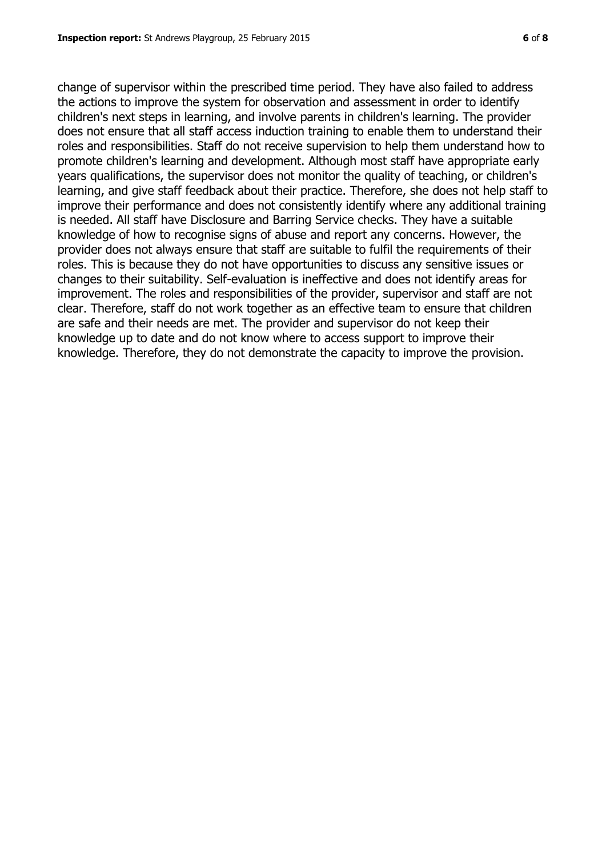change of supervisor within the prescribed time period. They have also failed to address the actions to improve the system for observation and assessment in order to identify children's next steps in learning, and involve parents in children's learning. The provider does not ensure that all staff access induction training to enable them to understand their roles and responsibilities. Staff do not receive supervision to help them understand how to promote children's learning and development. Although most staff have appropriate early years qualifications, the supervisor does not monitor the quality of teaching, or children's learning, and give staff feedback about their practice. Therefore, she does not help staff to improve their performance and does not consistently identify where any additional training is needed. All staff have Disclosure and Barring Service checks. They have a suitable knowledge of how to recognise signs of abuse and report any concerns. However, the provider does not always ensure that staff are suitable to fulfil the requirements of their roles. This is because they do not have opportunities to discuss any sensitive issues or changes to their suitability. Self-evaluation is ineffective and does not identify areas for improvement. The roles and responsibilities of the provider, supervisor and staff are not clear. Therefore, staff do not work together as an effective team to ensure that children are safe and their needs are met. The provider and supervisor do not keep their knowledge up to date and do not know where to access support to improve their knowledge. Therefore, they do not demonstrate the capacity to improve the provision.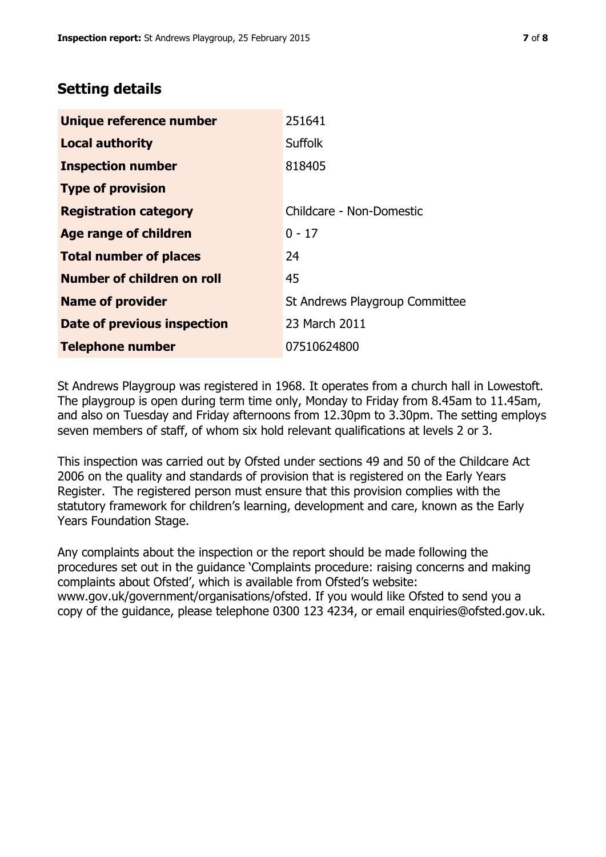# **Setting details**

| Unique reference number       | 251641                         |
|-------------------------------|--------------------------------|
| <b>Local authority</b>        | <b>Suffolk</b>                 |
| <b>Inspection number</b>      | 818405                         |
| <b>Type of provision</b>      |                                |
| <b>Registration category</b>  | Childcare - Non-Domestic       |
| Age range of children         | $0 - 17$                       |
| <b>Total number of places</b> | 24                             |
| Number of children on roll    | 45                             |
| <b>Name of provider</b>       | St Andrews Playgroup Committee |
| Date of previous inspection   | 23 March 2011                  |
| <b>Telephone number</b>       | 07510624800                    |

St Andrews Playgroup was registered in 1968. It operates from a church hall in Lowestoft. The playgroup is open during term time only, Monday to Friday from 8.45am to 11.45am, and also on Tuesday and Friday afternoons from 12.30pm to 3.30pm. The setting employs seven members of staff, of whom six hold relevant qualifications at levels 2 or 3.

This inspection was carried out by Ofsted under sections 49 and 50 of the Childcare Act 2006 on the quality and standards of provision that is registered on the Early Years Register. The registered person must ensure that this provision complies with the statutory framework for children's learning, development and care, known as the Early Years Foundation Stage.

Any complaints about the inspection or the report should be made following the procedures set out in the guidance 'Complaints procedure: raising concerns and making complaints about Ofsted', which is available from Ofsted's website: www.gov.uk/government/organisations/ofsted. If you would like Ofsted to send you a copy of the guidance, please telephone 0300 123 4234, or email enquiries@ofsted.gov.uk.